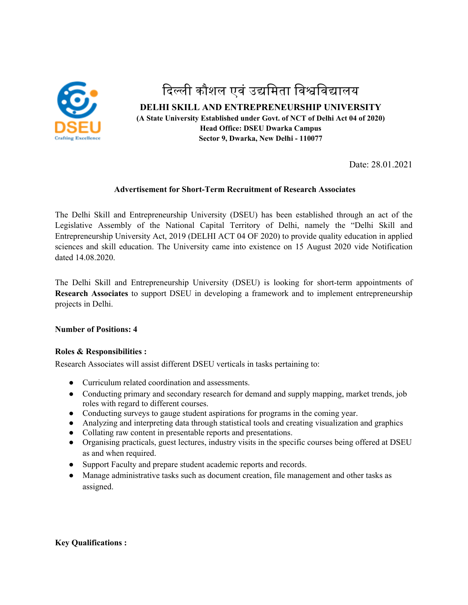

# दिल्ली कौशल एवं उद्यमिता विश्वविद्यालय **DELHI SKILL AND ENTREPRENEURSHIP UNIVERSITY (A State University Established under Govt. of NCT of Delhi Act 04 of 2020) Head Office: DSEU Dwarka Campus Sector 9, Dwarka, New Delhi - 110077**

Date: 28.01.2021

## **Advertisement for Short-Term Recruitment of Research Associates**

The Delhi Skill and Entrepreneurship University (DSEU) has been established through an act of the Legislative Assembly of the National Capital Territory of Delhi, namely the "Delhi Skill and Entrepreneurship University Act, 2019 (DELHI ACT 04 OF 2020) to provide quality education in applied sciences and skill education. The University came into existence on 15 August 2020 vide Notification dated 14.08.2020.

The Delhi Skill and Entrepreneurship University (DSEU) is looking for short-term appointments of **Research Associates** to support DSEU in developing a framework and to implement entrepreneurship projects in Delhi.

#### **Number of Positions: 4**

## **Roles & Responsibilities :**

Research Associates will assist different DSEU verticals in tasks pertaining to:

- Curriculum related coordination and assessments.
- Conducting primary and secondary research for demand and supply mapping, market trends, job roles with regard to different courses.
- Conducting surveys to gauge student aspirations for programs in the coming year.
- Analyzing and interpreting data through statistical tools and creating visualization and graphics
- Collating raw content in presentable reports and presentations.
- Organising practicals, guest lectures, industry visits in the specific courses being offered at DSEU as and when required.
- Support Faculty and prepare student academic reports and records.
- Manage administrative tasks such as document creation, file management and other tasks as assigned.

## **Key Qualifications :**